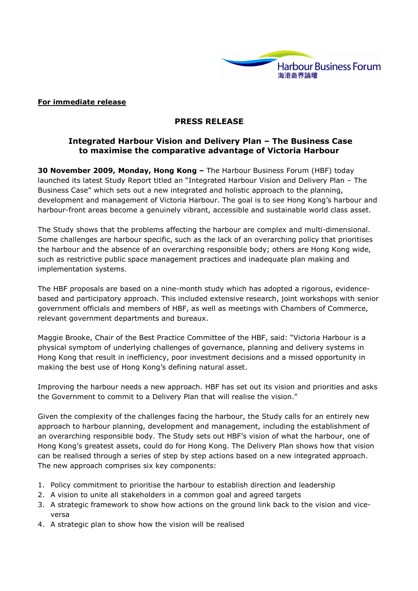

### For immediate release

### PRESS RELEASE

# Integrated Harbour Vision and Delivery Plan – The Business Case to maximise the comparative advantage of Victoria Harbour

30 November 2009, Monday, Hong Kong – The Harbour Business Forum (HBF) today launched its latest Study Report titled an "Integrated Harbour Vision and Delivery Plan – The Business Case" which sets out a new integrated and holistic approach to the planning, development and management of Victoria Harbour. The goal is to see Hong Kong's harbour and harbour-front areas become a genuinely vibrant, accessible and sustainable world class asset.

The Study shows that the problems affecting the harbour are complex and multi-dimensional. Some challenges are harbour specific, such as the lack of an overarching policy that prioritises the harbour and the absence of an overarching responsible body; others are Hong Kong wide, such as restrictive public space management practices and inadequate plan making and implementation systems.

The HBF proposals are based on a nine-month study which has adopted a rigorous, evidencebased and participatory approach. This included extensive research, joint workshops with senior government officials and members of HBF, as well as meetings with Chambers of Commerce, relevant government departments and bureaux.

Maggie Brooke, Chair of the Best Practice Committee of the HBF, said: "Victoria Harbour is a physical symptom of underlying challenges of governance, planning and delivery systems in Hong Kong that result in inefficiency, poor investment decisions and a missed opportunity in making the best use of Hong Kong's defining natural asset.

Improving the harbour needs a new approach. HBF has set out its vision and priorities and asks the Government to commit to a Delivery Plan that will realise the vision."

Given the complexity of the challenges facing the harbour, the Study calls for an entirely new approach to harbour planning, development and management, including the establishment of an overarching responsible body. The Study sets out HBF's vision of what the harbour, one of Hong Kong's greatest assets, could do for Hong Kong. The Delivery Plan shows how that vision can be realised through a series of step by step actions based on a new integrated approach. The new approach comprises six key components:

- 1. Policy commitment to prioritise the harbour to establish direction and leadership
- 2. A vision to unite all stakeholders in a common goal and agreed targets
- 3. A strategic framework to show how actions on the ground link back to the vision and viceversa
- 4. A strategic plan to show how the vision will be realised